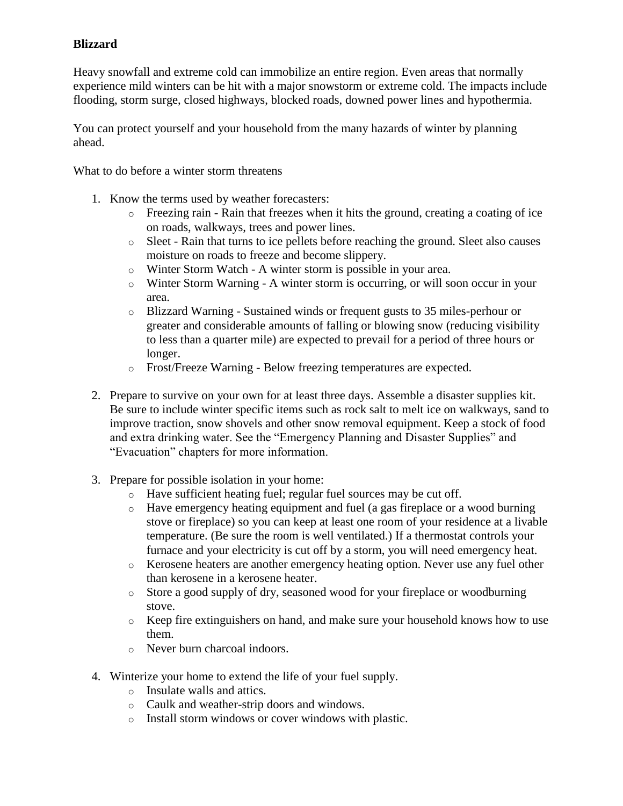## **Blizzard**

Heavy snowfall and extreme cold can immobilize an entire region. Even areas that normally experience mild winters can be hit with a major snowstorm or extreme cold. The impacts include flooding, storm surge, closed highways, blocked roads, downed power lines and hypothermia.

You can protect yourself and your household from the many hazards of winter by planning ahead.

What to do before a winter storm threatens

- 1. Know the terms used by weather forecasters:
	- o Freezing rain Rain that freezes when it hits the ground, creating a coating of ice on roads, walkways, trees and power lines.
	- o Sleet Rain that turns to ice pellets before reaching the ground. Sleet also causes moisture on roads to freeze and become slippery.
	- o Winter Storm Watch A winter storm is possible in your area.
	- o Winter Storm Warning A winter storm is occurring, or will soon occur in your area.
	- o Blizzard Warning Sustained winds or frequent gusts to 35 miles-perhour or greater and considerable amounts of falling or blowing snow (reducing visibility to less than a quarter mile) are expected to prevail for a period of three hours or longer.
	- o Frost/Freeze Warning Below freezing temperatures are expected.
- 2. Prepare to survive on your own for at least three days. Assemble a disaster supplies kit. Be sure to include winter specific items such as rock salt to melt ice on walkways, sand to improve traction, snow shovels and other snow removal equipment. Keep a stock of food and extra drinking water. See the "Emergency Planning and Disaster Supplies" and "Evacuation" chapters for more information.
- 3. Prepare for possible isolation in your home:
	- o Have sufficient heating fuel; regular fuel sources may be cut off.
	- o Have emergency heating equipment and fuel (a gas fireplace or a wood burning stove or fireplace) so you can keep at least one room of your residence at a livable temperature. (Be sure the room is well ventilated.) If a thermostat controls your furnace and your electricity is cut off by a storm, you will need emergency heat.
	- o Kerosene heaters are another emergency heating option. Never use any fuel other than kerosene in a kerosene heater.
	- o Store a good supply of dry, seasoned wood for your fireplace or woodburning stove.
	- o Keep fire extinguishers on hand, and make sure your household knows how to use them.
	- o Never burn charcoal indoors.
- 4. Winterize your home to extend the life of your fuel supply.
	- o Insulate walls and attics.
	- o Caulk and weather-strip doors and windows.
	- o Install storm windows or cover windows with plastic.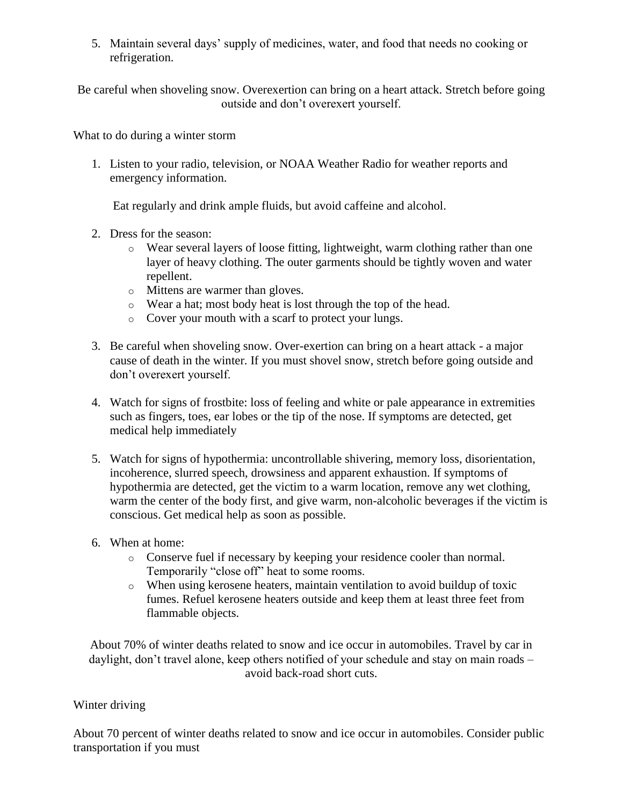5. Maintain several days' supply of medicines, water, and food that needs no cooking or refrigeration.

Be careful when shoveling snow. Overexertion can bring on a heart attack. Stretch before going outside and don't overexert yourself.

What to do during a winter storm

1. Listen to your radio, television, or NOAA Weather Radio for weather reports and emergency information.

Eat regularly and drink ample fluids, but avoid caffeine and alcohol.

- 2. Dress for the season:
	- o Wear several layers of loose fitting, lightweight, warm clothing rather than one layer of heavy clothing. The outer garments should be tightly woven and water repellent.
	- o Mittens are warmer than gloves.
	- o Wear a hat; most body heat is lost through the top of the head.
	- o Cover your mouth with a scarf to protect your lungs.
- 3. Be careful when shoveling snow. Over-exertion can bring on a heart attack a major cause of death in the winter. If you must shovel snow, stretch before going outside and don't overexert yourself.
- 4. Watch for signs of frostbite: loss of feeling and white or pale appearance in extremities such as fingers, toes, ear lobes or the tip of the nose. If symptoms are detected, get medical help immediately
- 5. Watch for signs of hypothermia: uncontrollable shivering, memory loss, disorientation, incoherence, slurred speech, drowsiness and apparent exhaustion. If symptoms of hypothermia are detected, get the victim to a warm location, remove any wet clothing, warm the center of the body first, and give warm, non-alcoholic beverages if the victim is conscious. Get medical help as soon as possible.
- 6. When at home:
	- o Conserve fuel if necessary by keeping your residence cooler than normal. Temporarily "close off" heat to some rooms.
	- o When using kerosene heaters, maintain ventilation to avoid buildup of toxic fumes. Refuel kerosene heaters outside and keep them at least three feet from flammable objects.

About 70% of winter deaths related to snow and ice occur in automobiles. Travel by car in daylight, don't travel alone, keep others notified of your schedule and stay on main roads – avoid back-road short cuts.

## Winter driving

About 70 percent of winter deaths related to snow and ice occur in automobiles. Consider public transportation if you must